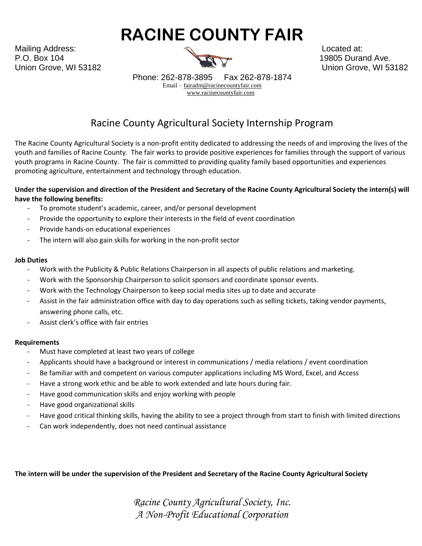# **RACINE COUNTY FAIR**

Mailing Address: Located at: P.O. Box 104 19805 Durand Ave. Union Grove, WI 53182 Union Grove, WI 53182



Phone: 262-878-3895 Fax 262-878-1874 Email – [fairadm@racinecountyfair.com](mailto:fairadm@racinecountyfair.com) [www.racinecountyfair.com](http://www.racinecountyfair.com/)

# Racine County Agricultural Society Internship Program

The Racine County Agricultural Society is a non-profit entity dedicated to addressing the needs of and improving the lives of the youth and families of Racine County. The fair works to provide positive experiences for families through the support of various youth programs in Racine County. The fair is committed to providing quality family based opportunities and experiences promoting agriculture, entertainment and technology through education.

## **Under the supervision and direction of the President and Secretary of the Racine County Agricultural Society the intern(s) will have the following benefits:**

- To promote student's academic, career, and/or personal development
- Provide the opportunity to explore their interests in the field of event coordination
- Provide hands-on educational experiences
- The intern will also gain skills for working in the non-profit sector

#### **Job Duties**

- Work with the Publicity & Public Relations Chairperson in all aspects of public relations and marketing.
- Work with the Sponsorship Chairperson to solicit sponsors and coordinate sponsor events.
- Work with the Technology Chairperson to keep social media sites up to date and accurate
- Assist in the fair administration office with day to day operations such as selling tickets, taking vendor payments, answering phone calls, etc.
- Assist clerk's office with fair entries

#### **Requirements**

- Must have completed at least two years of college
- Applicants should have a background or interest in communications / media relations / event coordination
- Be familiar with and competent on various computer applications including MS Word, Excel, and Access
- Have a strong work ethic and be able to work extended and late hours during fair.
- Have good communication skills and enjoy working with people
- Have good organizational skills
- Have good critical thinking skills, having the ability to see a project through from start to finish with limited directions
- Can work independently, does not need continual assistance

**The intern will be under the supervision of the President and Secretary of the Racine County Agricultural Society**

*Racine County Agricultural Society, Inc. A Non-Profit Educational Corporation*